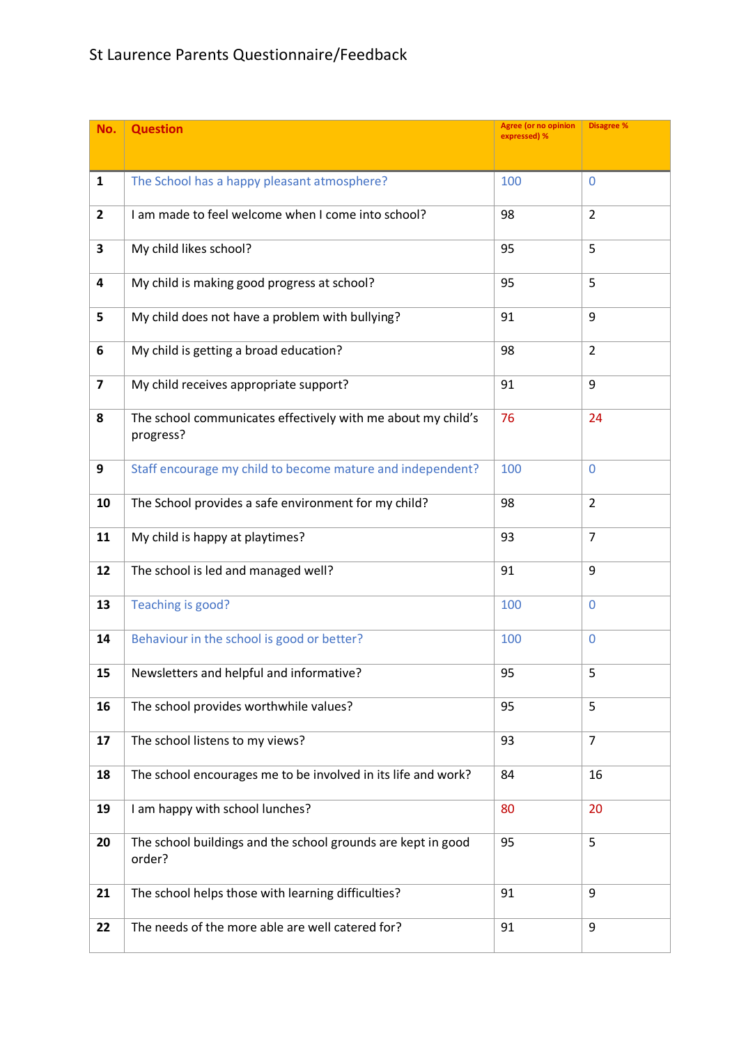## St Laurence Parents Questionnaire/Feedback

| No.                     | <b>Question</b>                                                           | <b>Agree (or no opinion</b><br>expressed) % | <b>Disagree %</b> |
|-------------------------|---------------------------------------------------------------------------|---------------------------------------------|-------------------|
|                         |                                                                           |                                             |                   |
| $\mathbf{1}$            | The School has a happy pleasant atmosphere?                               | 100                                         | $\mathbf{0}$      |
| $\overline{2}$          | I am made to feel welcome when I come into school?                        | 98                                          | $\overline{2}$    |
| $\overline{\mathbf{3}}$ | My child likes school?                                                    | 95                                          | 5                 |
| 4                       | My child is making good progress at school?                               | 95                                          | 5                 |
| 5                       | My child does not have a problem with bullying?                           | 91                                          | 9                 |
| 6                       | My child is getting a broad education?                                    | 98                                          | $\overline{2}$    |
| $\overline{\mathbf{z}}$ | My child receives appropriate support?                                    | 91                                          | 9                 |
| 8                       | The school communicates effectively with me about my child's<br>progress? | 76                                          | 24                |
| 9                       | Staff encourage my child to become mature and independent?                | 100                                         | $\mathbf 0$       |
| 10                      | The School provides a safe environment for my child?                      | 98                                          | $\overline{2}$    |
| 11                      | My child is happy at playtimes?                                           | 93                                          | $\overline{7}$    |
| 12                      | The school is led and managed well?                                       | 91                                          | 9                 |
| 13                      | Teaching is good?                                                         | 100                                         | $\mathbf 0$       |
| 14                      | Behaviour in the school is good or better?                                | 100                                         | $\Omega$          |
| 15                      | Newsletters and helpful and informative?                                  | 95                                          | 5                 |
| 16                      | The school provides worthwhile values?                                    | 95                                          | 5                 |
| 17                      | The school listens to my views?                                           | 93                                          | $\overline{7}$    |
| 18                      | The school encourages me to be involved in its life and work?             | 84                                          | 16                |
| 19                      | I am happy with school lunches?                                           | 80                                          | 20                |
| 20                      | The school buildings and the school grounds are kept in good<br>order?    | 95                                          | 5                 |
| 21                      | The school helps those with learning difficulties?                        | 91                                          | 9                 |
| 22                      | The needs of the more able are well catered for?                          | 91                                          | 9                 |